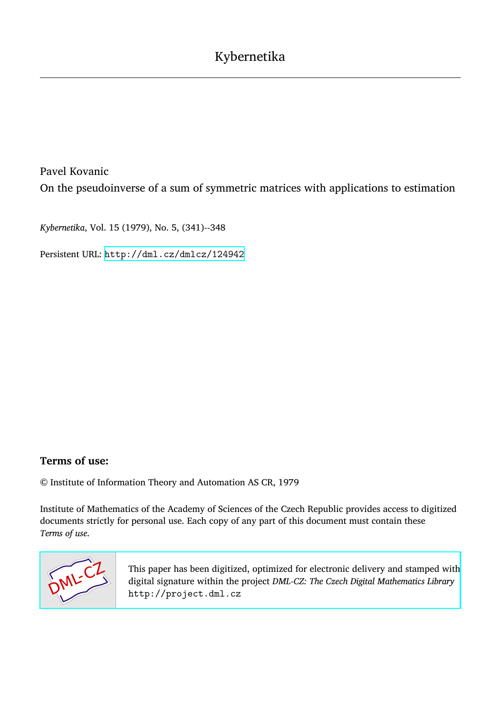Pavel Kovanic On the pseudoinverse of a sum of symmetric matrices with applications to estimation

*Kybernetika*, Vol. 15 (1979), No. 5, (341)--348

Persistent URL: <http://dml.cz/dmlcz/124942>

# **Terms of use:**

© Institute of Information Theory and Automation AS CR, 1979

Institute of Mathematics of the Academy of Sciences of the Czech Republic provides access to digitized documents strictly for personal use. Each copy of any part of this document must contain these *Terms of use*.



[This paper has been digitized, optimized for electronic delivery and stamped with](http://project.dml.cz) digital signature within the project *DML-CZ: The Czech Digital Mathematics Library* http://project.dml.cz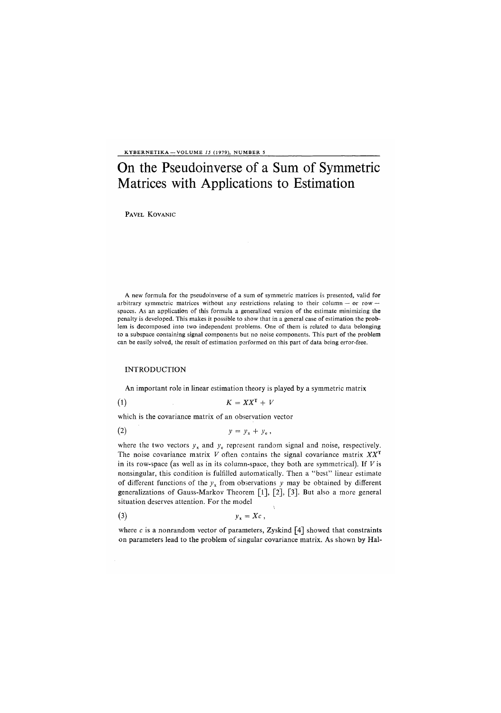KYBERNETIKA —VOLUME *15* (1979), NUMBER 5

# On the Pseudoinverse of a Sum of Symmetric Matrices with Applications to Estimation

PAVEL KOVANIC

A new formula for the pseudoinverse of a sum of symmetric matrices is presented, valid for arbitrary symmetric matrices without any restrictions relating to their column — or row  $\cdot$ spaces. As an application of this formula a generalized version of the estimate minimizing the penalty is developed. This makes it possible to show that in a general case of estimation the problem is decomposed into two independent problems. One of them is related to data belonging to a subspace containing signal components but no noise components. This part of the problem can be easily solved, the result of estimation performed on this part of data being error-free.

#### INTRODUCTION

An important role in linear estimation theory is played by a symmetric matrix

$$
(1) \t\t K = XX^{T} + V
$$

which is the covariance matrix of an observation vector

$$
y = y_x + y_e,
$$

where the two vectors  $y_x$  and  $y_e$  represent random signal and noise, respectively. The noise covariance matrix *V* often contains the signal covariance matrix *XX<sup>T</sup>* in its row-space (as well as in its column-space, they both are symmetrical). If *V* is nonsingular, this condition is fulfilled automatically. Then a "best" linear estimate of different functions of the  $y<sub>x</sub>$  from observations y may be obtained by different generalizations of Gauss-Markov Theorem [1], [2], [3]. But also a more general situation deserves attention. For the model

$$
y_{x} = Xc ,
$$

where c is a nonrandom vector of parameters, Zyskind  $\lceil 4 \rceil$  showed that constraints on parameters lead to the problem of singular covariance matrix. As shown by Hal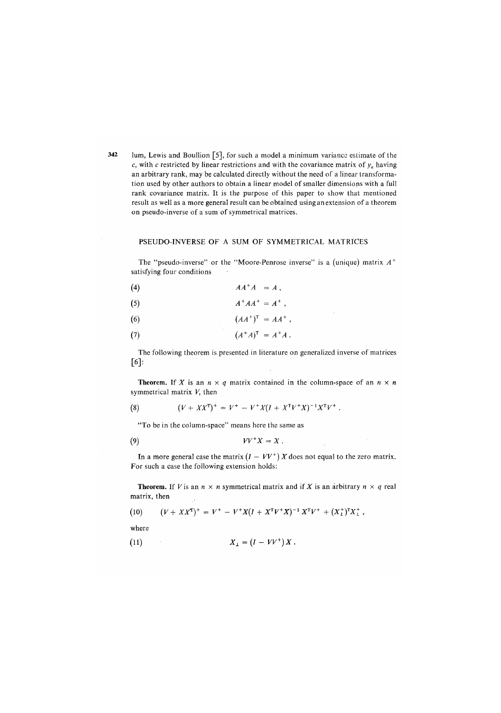**342** Jum, Lewis and Boullion [5], for such a model a minimum variance estimate of the *c*, with c restricted by linear restrictions and with the covariance matrix of  $y_e$  having an arbitrary rank, may be calculated directly without the need of a linear transformation used by other authors to obtain a linear model of smaller dimensions with a full rank covariance matrix. It is the purpose of this paper to show that mentioned result as well as a more general result can be obtained using an extension of a theorem on pseudo-inverse of a sum of symmetrical matrices.

## PSEUDO-INVERSE OF A SUM OF SYMMETRICAL MATRICES

The "pseudo-inverse" or the "Moore-Penrose inverse" is a (unique) matrix *A <sup>+</sup>* satisfying four conditions

$$
(4) \hspace{3.1em} AA^+A = A \ ,
$$

$$
(5) \tA^+AA^+ = A^+ \t,
$$

$$
(6) \hspace{3.1em} (AA^+)^{\mathrm{T}} = AA^+ \, ,
$$

$$
(7) \qquad \qquad (A^+A)^{\mathrm{T}} = A^+A \ .
$$

The following theorem is presented in literature on generalized inverse of matrices  $\lceil 6 \rceil$ :

**Theorem.** If *X* is an  $n \times q$  matrix contained in the column-space of an  $n \times n$ symmetrical matrix *V*, then

(8) 
$$
(V + XX^{\mathsf{T}})^{+} = V^{+} - V^{+}X(I + X^{\mathsf{T}}V^{+}X)^{-1}X^{\mathsf{T}}V^{+}.
$$

"To be in the column-space" means here the same as

$$
(9) \t VV^+X=X.
$$

In a more general case the matrix  $(I - VV^+) X$  does not equal to the zero matrix. For such a case the following extension holds:

**Theorem.** If *V* is an  $n \times n$  symmetrical matrix and if *X* is an arbitrary  $n \times q$  real matrix, then  $\bar{\mathcal{A}}$ 

(10) 
$$
(V + XX^{\mathsf{T}})^{+} = V^{+} - V^{+}X(I + X^{\mathsf{T}}V^{+}X)^{-1}X^{\mathsf{T}}V^{+} + (X_{\perp}^{+})^{\mathsf{T}}X_{\perp}^{+},
$$

where

$$
(11) \t\t\t X_{\perp} = (I - V V^{+}) X .
$$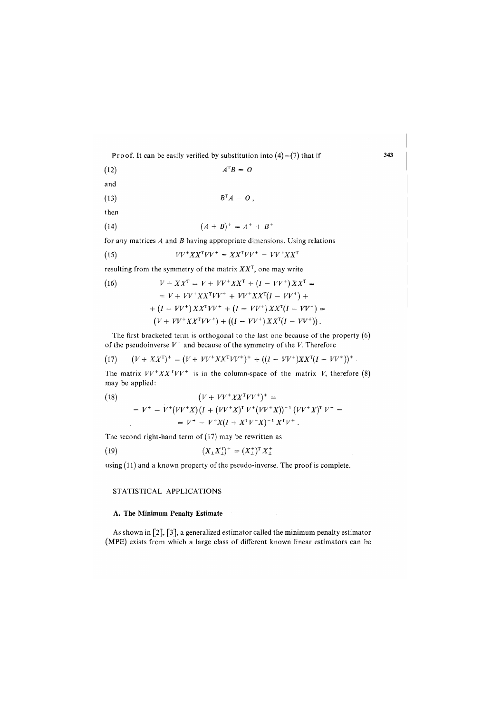Proof. It can be easily verified by substitution into  $(4)$  –  $(7)$  that if

$$
(12) \t\t ATB = O
$$

and

$$
B^{\mathrm{T}}A = O,
$$

then

(14) 
$$
(A + B)^{+} = A^{+} + B^{+}
$$

for any matrices *A* and *B* having appropriate dimensions. Using relations

$$
(15) \t VV^+XX^TVV^+ = XX^TVV^+ = VV^+XX^T
$$

resulting from the symmetry of the matrix *XX<sup>T</sup> ,* one may write

(16) 
$$
V + XX^{T} = V + VV^{+}XX^{T} + (I - VV^{+})XX^{T} =
$$

$$
= V + VV^{+}XX^{T}VV^{+} + VV^{+}XX^{T}(I - VV^{+}) +
$$

$$
+ (I - VV^{+})XX^{T}VV^{+} + (I - VV^{+})XX^{T}(I - VV^{+}) =
$$

$$
(V + VV^{+}XX^{T}VV^{+}) + ((I - VV^{+})XX^{T}(I - VV^{+})).
$$

The first bracketed term is orthogonal to the last one because of the property (6) of the pseudoinverse  $V^+$  and because of the symmetry of the *V*. Therefore

(17) 
$$
(V + XX^{T})^{+} = (V + VV^{+}XX^{T}VV^{+})^{+} + ((I - VV^{+})XX^{T}(I - VV^{+}))^{+}.
$$

The matrix  $VV^+XX^TVV^+$  is in the column-space of the matrix *V*, therefore (8) may be applied:

(18)  
\n
$$
(V + VV^+XX^TVV^+)^+ =
$$
\n
$$
= V^+ - V^+(VV^+X)(I + (VV^+X)^T V^+(VV^+X))^{-1} (VV^+X)^T V^+ =
$$
\n
$$
= V^+ - V^+X(I + X^TV^+X)^{-1} X^T V^+.
$$

The second right-hand term of (17) may be rewritten as

(19) 
$$
(X_{\perp} X_{\perp}^{\mathrm{T}})^{+} = (X_{\perp}^{+})^{\mathrm{T}} X_{\perp}^{+}
$$

using (11) and a known property of the pseudo-inverse. The proof is complete.

### STATISTICAL APPLICATIONS

#### **A. The Minimum Penal**t**y** E**s**t**ima**t**e**

As shown in [2], [3], a generalized estimator called the minimum penalty estimator (MPE) exists from which a large class of different known linear estimators can be 343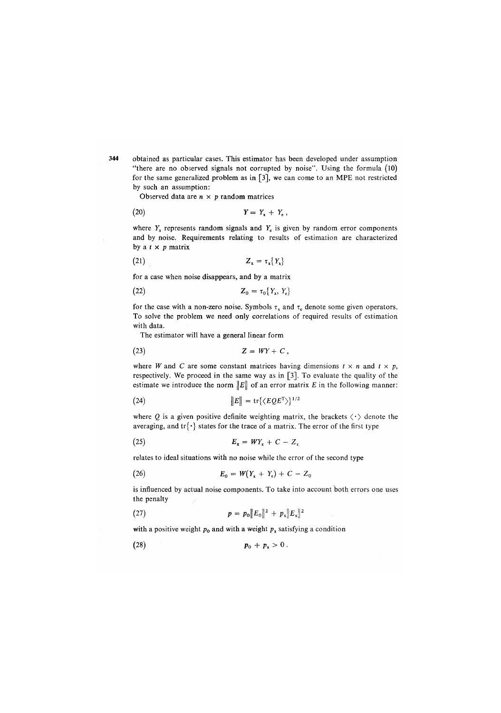344 obtained as particular cases. This estimator has been developed under assumption "there are no observed signals not corrupted by noise". Using the formula *(*10) for the same generalized problem as in  $\lceil 3 \rceil$ , we can come to an MPE not restricted by such an assumption:

Observed data are  $n \times p$  random matrices

$$
Y = Y_x + Y_e,
$$

where  $Y<sub>x</sub>$  represents random signals and  $Y<sub>x</sub>$  is given by random error components and by noise. Requirements relating to results of estimation are characterized by a *t* x *p* matrix

$$
(21) \t\t\t Z_x = \tau_x \{Y_x\}
$$

for a case when noise disappears, and by a matrix

$$
Z_0 = \tau_0 \{Y_x, Y_e\}
$$

for the case with a non-zero noise. Symbols  $\tau_x$  and  $\tau_e$  denote some given operators. To solve the problem we need only correlations of required results of estimation with data.

The estimator will have a general linear form

$$
(23) \t\t Z = WY + C,
$$

where *W* and *C* are some constant matrices having dimensions  $t \times n$  and  $t \times p$ , respectively. We proceed in the same way as in  $[3]$ . To evaluate the quality of the estimate we introduce the norm  $||E||$  of an error matrix E in the following manner:

(24) 
$$
\|E\| = \text{tr}\{\langle EQE^{\mathsf{T}}\rangle\}^{1/2}
$$

where  $Q$  is a given positive definite weighting matrix, the brackets  $\langle \cdot \rangle$  denote the averaging, and  $\text{tr}\{\cdot\}$  states for the trace of a matrix. The error of the first type

$$
E_x = WY_x + C - Z_x
$$

relates to ideal situations with no noise while the error of the second type

(26) 
$$
E_0 = W(Y_x + Y_e) + C - Z_0
$$

is influenced by actual noise components. To take into account both errors one uses the penalty

(27) 
$$
p = p_0 ||E_0||^2 + p_x ||E_x||^2
$$

with a positive weight  $p_0$  and with a weight  $p_x$  satisfying a condition

*(*28) p0 + *Px >* 0 .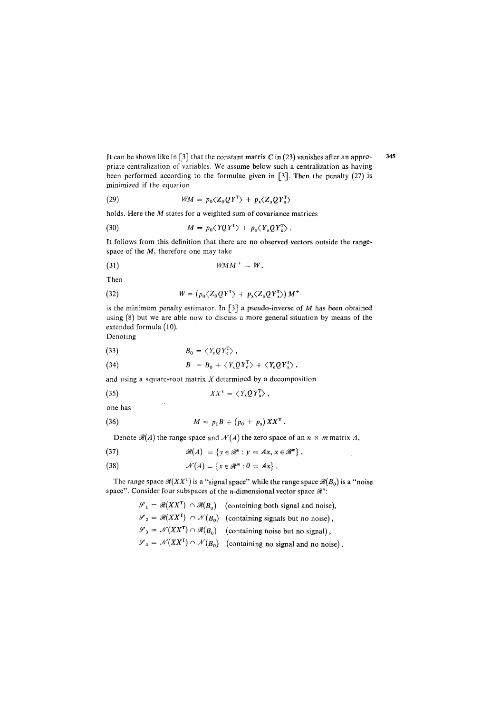It can be shown like in [3] that the constant matrix  $C$  in (23) vanishes after an appro- 345 priate centralization of variables. We assume below such a centralization as having been performed according to the formulae given in [3]. Then the penalty (27) is minimized if the equation

(29) 
$$
WM = p_0 \langle Z_0 Q Y^T \rangle + p_x \langle Z_x Q Y_x^T \rangle
$$

holds. Here the M states for a weighted sum of covariance matrices

(30) 
$$
M = p_0 \langle YQY^T \rangle + p_x \langle Y_xQY_x^T \rangle.
$$

It follows from this definition that there are no observed vectors outside the rangespace of the  $M$ , therefore one may take

$$
(31) \t\t WMM^+ = W.
$$

Then

(32) 
$$
W = (p_0 \langle Z_0 Q Y^T \rangle + p_x \langle Z_x Q Y_x^T \rangle) M^+
$$

is the minimum penalty estimator. In  $\lceil 3 \rceil$  a pseudo-inverse of M has been obtained using (8) but we are able now to discuss a more general situation by means of the extended formula (10). Denoting

$$
B_0 = \langle Y, OY^T \rangle
$$

(34) 
$$
B = B_0 + \langle Y_{\kappa} Q Y_{\kappa}^T \rangle + \langle Y_{\kappa} Q Y_{\kappa}^T \rangle,
$$

and using a square-root matrix  $X$  determined by a decomposition

(35) 
$$
XX^{\mathsf{T}} = \langle Y_{\mathsf{x}} Q Y_{\mathsf{x}}^{\mathsf{T}} \rangle,
$$

one has

(36) 
$$
M = p_0 B + (p_0 + p_x) X X^{\mathsf{T}}.
$$

Denote  $\mathcal{R}(A)$  the range space and  $\mathcal{N}(A)$  the zero space of an  $n \times m$  matrix A,

(37) 
$$
\mathscr{R}(A) = \{ y \in \mathscr{R}^n : y = Ax, x \in \mathscr{R}^m \},
$$

(38) 
$$
\mathcal{N}(A) = \{x \in \mathcal{R}^m : 0 = Ax\}.
$$

The range space  $\mathcal{R}(XX^T)$  is a "signal space" while the range space  $\mathcal{R}(B_0)$  is a "noise space". Consider four subspaces of the *n*-dimensional vector space  $\mathcal{R}$ ":

> $\mathscr{S}_1 = \mathscr{R}(XX^T) \cap \mathscr{R}(B_0)$  (containing both signal and noise),  $\mathscr{S}_2 = \mathscr{R}(XX^T) \cap \mathscr{N}(B_0)$  (containing signals but no noise),  $\mathscr{S}_3 = \mathscr{N}(XX^T) \cap \mathscr{R}(B_0)$  (containing noise but no signal),  $\mathscr{S}_4 = \mathscr{N}(XX^T) \cap \mathscr{N}(B_0)$  (containing no signal and no noise).

 $\Delta$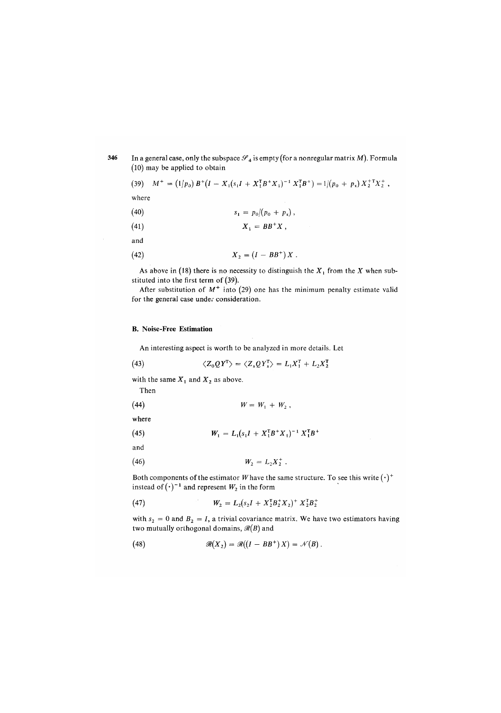### **346** In a general case, only the subspace  $\mathscr{S}_4$  is empty (for a nonregular matrix *M*). Formula (10) may be applied to obtain

$$
(39) \quad M^+ = (1/p_0) B^+ (I - X_1 (s_1 I + X_1^T B^+ X_1)^{-1} X_1^T B^+) = 1/(p_0 + p_x) X_2^+ X_2^+,
$$

where

(40) 
$$
s_1 = p_0/(p_0 + p_x),
$$

$$
(41) \t\t\t X_1 = BB^+X,
$$

and

(42) 
$$
X_2 = (I - BB^+) X.
$$

As above in (18) there is no necessity to distinguish the  $X_1$  from the  $X$  when substituted into the first term of (39).

After substitution of *M<sup>+</sup>* into (29) one has the minimum penalty estimate valid for the general case under consideration.

### **B**. N**oise-Free Estimation**

An interesting aspect is worth to be analyzed in more details. Let

(43) 
$$
\langle Z_0 Q Y^T \rangle = \langle Z_x Q Y_x^T \rangle = L_1 X_1^T + L_2 X_2^T
$$

with the same  $X_1$  and  $X_2$  as above.

Then

$$
(44) \t\t W = W_1 + W_2,
$$

where

(45) 
$$
W_1 = L_1(s_1 I + X_1^T B^+ X_1)^{-1} X_1^T B^+
$$

and

(46) 
$$
W_2 = L_2 X_2^+ \, .
$$

Both components of the estimator W have the same structure. To see this write  $(\cdot)^+$ instead of  $(\cdot)^{-1}$  and represent  $W_2$  in the form

(47) 
$$
W_2 = L_2(s_2I + X_2^{\mathsf{T}}B_2^+X_2^{\mathsf{T}}X_2^+ + X_2^{\mathsf{T}}B_2^+)
$$

with  $s_2 = 0$  and  $B_2 = I$ , a trivial covariance matrix. We have two estimators having two mutually orthogonal domains,  $\mathcal{R}(B)$  and

(48) 
$$
\mathscr{R}(X_2) = \mathscr{R}((I - BB^+)X) = \mathscr{N}(B).
$$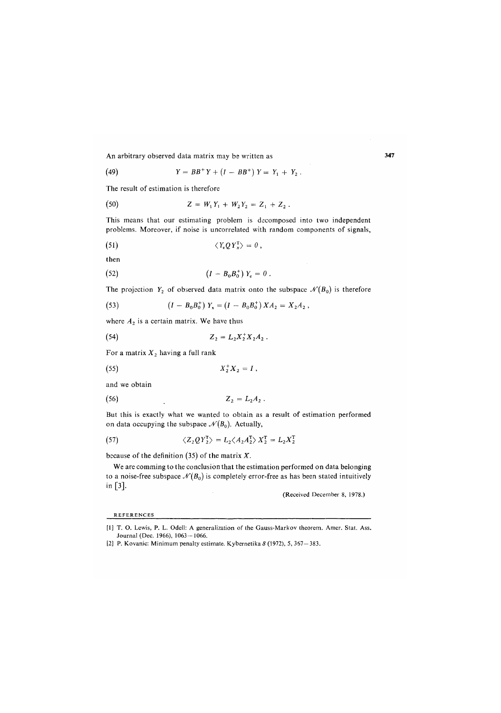An arbitrary observed data matrix may be written as 347

(49) 
$$
Y = BB^+Y + (I - BB^+)Y = Y_1 + Y_2.
$$

The result of estimation is therefore

(50) 
$$
Z = W_1 Y_1 + W_2 Y_2 = Z_1 + Z_2.
$$

This means that our estimating problem is decomposed into two independent problems. Moreover, if noise is uncorrelated with random components of signals,

$$
\langle Y_{\rm e} Q Y_{\rm x}^{\rm T} \rangle = 0 \,,
$$

then

(52) 
$$
(I - B_0 B_0^+) Y_e = 0.
$$

The projection  $Y_2$  of observed data matrix onto the subspace  $\mathcal{N}(B_0)$  is therefore

(53) 
$$
(I - B_0 B_0^+) Y_x = (I - B_0 B_0^+) X A_2 = X_2 A_2,
$$

where  $A_2$  is a certain matrix. We have thus

(54) 
$$
Z_2 = L_2 X_2^+ X_2 A_2.
$$

For a matrix *X2* having a full rank

$$
(55) \t\t X_2^+X_2 = I,
$$

and we obtain

$$
(56) \t\t\t Z_2 = L_2 A_2 .
$$

But this is exactly what we wanted to obtain as a result of estimation performed on data occupying the subspace  $\mathcal{N}(B_0)$ . Actually,

(57) 
$$
\langle Z_2 Q Y_2^{\mathsf{T}} \rangle = L_2 \langle A_2 A_2^{\mathsf{T}} \rangle X_2^{\mathsf{T}} = L_2 X_2^{\mathsf{T}}
$$

because of the definition (35) of the matrix *X.* 

We are comming to the conclusion that the estimation performed on data belonging to a noise-free subspace  $\mathcal{N}(B_0)$  is completely error-free as has been stated intuitively in [3],

(Received December 8, 1978.)

REFERENCES

<sup>[1]</sup> T. O. Lewis, P. L. Odell: A generalization of the Gauss-Markov theorem. Amer. Stat. Ass. Journal (Dec. 1966), 1063-1066.

<sup>[2]</sup> P. Kovanic: Minimum penalty estimate. Kybernetika *8* (1972), 5, 367-383.